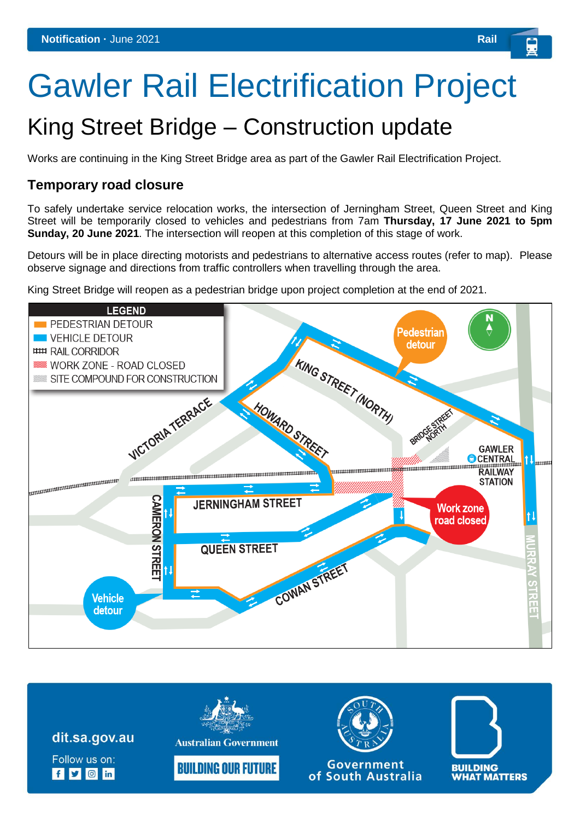# Gawler Rail Electrification Project

## King Street Bridge – Construction update

Works are continuing in the King Street Bridge area as part of the Gawler Rail Electrification Project.

#### **Temporary road closure**

To safely undertake service relocation works, the intersection of Jerningham Street, Queen Street and King Street will be temporarily closed to vehicles and pedestrians from 7am **Thursday, 17 June 2021 to 5pm Sunday, 20 June 2021**. The intersection will reopen at this completion of this stage of work.

Detours will be in place directing motorists and pedestrians to alternative access routes (refer to map). Please observe signage and directions from traffic controllers when travelling through the area.

King Street Bridge will reopen as a pedestrian bridge upon project completion at the end of 2021.